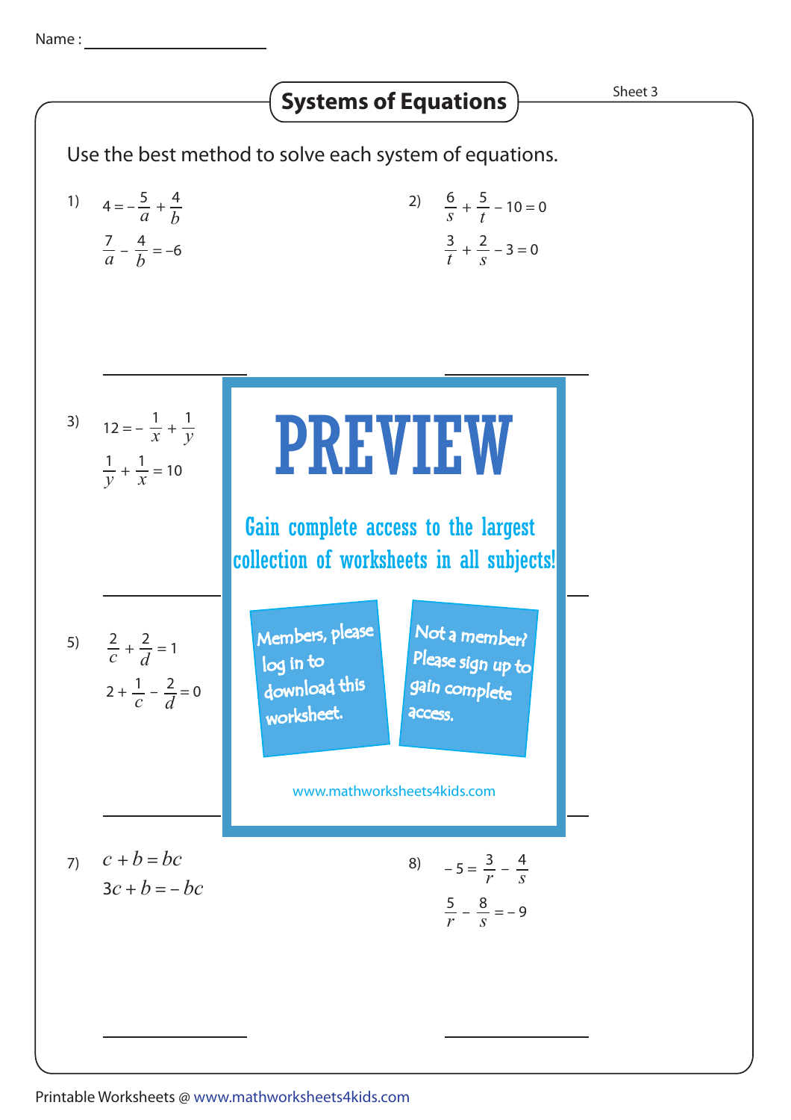### Use the best method to solve each system of equations. 1)  $4 = -\frac{5}{a} + \frac{4}{b}$  <br>2)  $\frac{6}{s} + \frac{5}{t} - 10 = 0$ 5 *t*  $\frac{3}{t} + \frac{2}{s} - 3 = 0$ 2 *s* 3)  $12 = -\frac{1}{x} +$ *x* 1 *y*  $\frac{1}{y} + \frac{1}{x} = 10$ 1 *x* 4) + = 2 <sup>7</sup> *u* ıç *v* 1 VV *u v* 5)  $\frac{2}{c} + \frac{2}{l} = 1$  $2 + \frac{1}{a} - \frac{2}{b} = 0$ *c* 2 *d c* 2 *d*  $\begin{array}{|c|c|c|}\n\hline\nNot a member? \hline\n\end{array}$ 7)  $c + b = bc$  8)  $-5 = \frac{3}{r}$ 4 *s*  $\frac{5}{r} - \frac{8}{s} = -9$ 8 *s* **Systems of Equations**  $\overrightarrow{S^{heet 3}}$  $c + b = bc$  $3c + b = -bc$  $\frac{7}{a} - \frac{4}{b} = -6$ *b* 5  $4 = -\frac{5}{a} + \frac{4}{b}$ *b q p* Please sign up to  $\mathsf{complete}^$ *p* .<br>م *q* gain complete PREVIEW www.mathworksheets4kids.com Members, please download this worksheet. log in to **access** Gain complete access to the largest collection of worksheets in all subjects!

## Printable Worksheets @ www.mathworksheets4kids.com